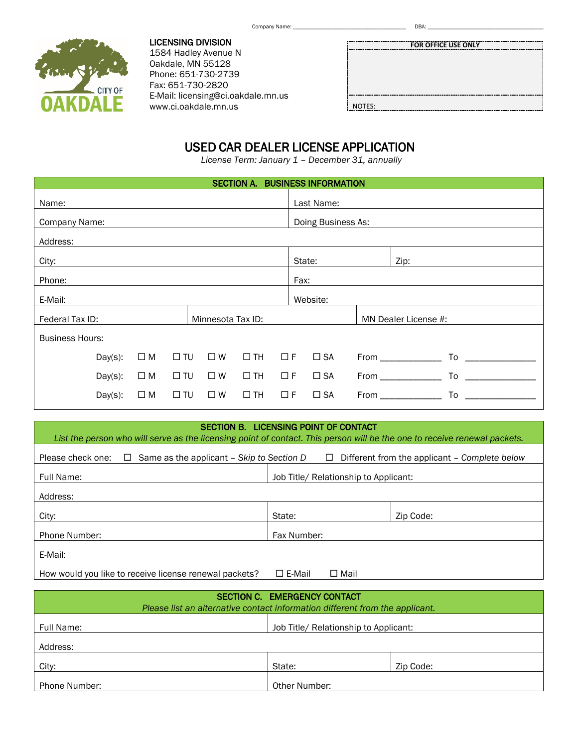Company Name: \_\_\_\_\_\_\_\_\_\_\_\_\_\_\_\_\_\_\_\_\_\_\_\_\_\_\_\_\_\_\_\_\_\_\_\_\_\_\_\_ DBA: \_\_\_\_\_\_\_\_\_\_\_\_\_\_\_\_\_\_\_\_\_\_\_\_\_\_\_\_\_\_\_\_\_\_\_\_\_\_\_\_\_



LICENSING DIVISION 1584 Hadley Avenue N Oakdale, MN 55128 Phone: 651-730-2739 Fax: 651-730-2820 E-Mail: licensing@ci.oakdale.mn.us www.ci.oakdale.mn.us

# USED CAR DEALER LICENSE APPLICATION

*License Term: January 1 – December 31, annually*

| SECTION A. BUSINESS INFORMATION      |            |             |              |             |                    |                      |              |  |                           |
|--------------------------------------|------------|-------------|--------------|-------------|--------------------|----------------------|--------------|--|---------------------------|
| Name:                                |            |             |              |             |                    |                      | Last Name:   |  |                           |
| Company Name:                        |            |             |              |             | Doing Business As: |                      |              |  |                           |
| Address:                             |            |             |              |             |                    |                      |              |  |                           |
| City:                                |            |             |              |             |                    |                      | State:       |  | Zip:                      |
| Phone:<br>Fax:                       |            |             |              |             |                    |                      |              |  |                           |
| E-Mail:                              |            |             |              |             | Website:           |                      |              |  |                           |
| Federal Tax ID:<br>Minnesota Tax ID: |            |             |              |             |                    | MN Dealer License #: |              |  |                           |
| <b>Business Hours:</b>               |            |             |              |             |                    |                      |              |  |                           |
|                                      | $Day(s)$ : | $\square$ M | $\square$ TU | $\square$ W | $\Box$ TH          | $\Box F$             | $\square$ SA |  | To _______________        |
|                                      | $Day(s)$ : | $\square$ M | $\Box$ TU    | $\square$ W | $\Box$ TH          | $\Box F$             | $\square$ SA |  | To<br>From ______________ |
|                                      | $Day(s)$ : | $\square$ M | $\Box$ TU    | $\square$ W | $\Box$ TH          | $\Box F$             | $\square$ SA |  | To<br>From ______________ |

| SECTION B. LICENSING POINT OF CONTACT                                                                                     |                                       |                                               |  |  |  |
|---------------------------------------------------------------------------------------------------------------------------|---------------------------------------|-----------------------------------------------|--|--|--|
| List the person who will serve as the licensing point of contact. This person will be the one to receive renewal packets. |                                       |                                               |  |  |  |
| Please check one:<br>$\Box$ Same as the applicant – Skip to Section D                                                     | $\Box$                                | Different from the applicant – Complete below |  |  |  |
| Full Name:                                                                                                                | Job Title/ Relationship to Applicant: |                                               |  |  |  |
| Address:                                                                                                                  |                                       |                                               |  |  |  |
| City:                                                                                                                     | State:                                | Zip Code:                                     |  |  |  |
| <b>Phone Number:</b>                                                                                                      | Fax Number:                           |                                               |  |  |  |
| E-Mail:                                                                                                                   |                                       |                                               |  |  |  |
| How would you like to receive license renewal packets?                                                                    | $\square$ E-Mail<br>$\Box$ Mail       |                                               |  |  |  |

| SECTION C. EMERGENCY CONTACT<br>Please list an alternative contact information different from the applicant. |                                       |           |  |  |  |
|--------------------------------------------------------------------------------------------------------------|---------------------------------------|-----------|--|--|--|
| Full Name:                                                                                                   | Job Title/ Relationship to Applicant: |           |  |  |  |
| Address:                                                                                                     |                                       |           |  |  |  |
| City:                                                                                                        | State:                                | Zip Code: |  |  |  |
| Phone Number:                                                                                                | Other Number:                         |           |  |  |  |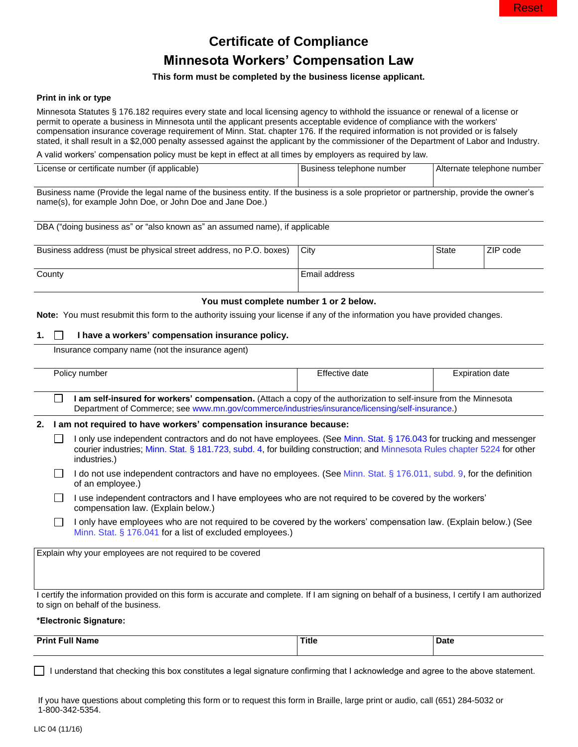# **Certificate of Compliance Minnesota Workers' Compensation Law**

## **This form must be completed by the business license applicant.**

### **Print in ink or type**

Minnesota Statutes § 176.182 requires every state and local licensing agency to withhold the issuance or renewal of a license or permit to operate a business in Minnesota until the applicant presents acceptable evidence of compliance with the workers' compensation insurance coverage requirement of Minn. Stat. chapter 176. If the required information is not provided or is falsely stated, it shall result in a \$2,000 penalty assessed against the applicant by the commissioner of the Department of Labor and Industry.

A valid workers' compensation policy must be kept in effect at all times by employers as required by law.

| License or certificate number (if applicable)                                                                                        | l Business telephone number | i Alternate telephone number |
|--------------------------------------------------------------------------------------------------------------------------------------|-----------------------------|------------------------------|
|                                                                                                                                      |                             |                              |
| Business name (Provide the legal name of the business entity If the business is a sole proprietor or partnership provide the owner's |                             |                              |

name (Provide the legal name of the business entity. If the business is a sole proprietor or partnership, provide the owner's name(s), for example John Doe, or John Doe and Jane Doe.)

| DBA ("doing business as" or "also known as" an assumed name), if applicable |               |       |          |  |  |
|-----------------------------------------------------------------------------|---------------|-------|----------|--|--|
| Business address (must be physical street address, no P.O. boxes)           | City          | State | ZIP code |  |  |
| County                                                                      | Email address |       |          |  |  |

### **You must complete number 1 or 2 below.**

**Note:** You must resubmit this form to the authority issuing your license if any of the information you have provided changes.

### **1. I have a workers' compensation insurance policy.**

Insurance company name (not the insurance agent)

|                                                           | Policy number                                                                                                                                                                                                                                                    | Effective date | <b>Expiration date</b> |  |  |
|-----------------------------------------------------------|------------------------------------------------------------------------------------------------------------------------------------------------------------------------------------------------------------------------------------------------------------------|----------------|------------------------|--|--|
|                                                           | I am self-insured for workers' compensation. (Attach a copy of the authorization to self-insure from the Minnesota<br>Department of Commerce; see www.mn.gov/commerce/industries/insurance/licensing/self-insurance.)                                            |                |                        |  |  |
| 2.                                                        | I am not required to have workers' compensation insurance because:                                                                                                                                                                                               |                |                        |  |  |
|                                                           | I only use independent contractors and do not have employees. (See Minn. Stat. § 176.043 for trucking and messenger<br>courier industries; Minn. Stat. § 181.723, subd. 4, for building construction; and Minnesota Rules chapter 5224 for other<br>industries.) |                |                        |  |  |
|                                                           | I do not use independent contractors and have no employees. (See Minn. Stat. § 176.011, subd. 9, for the definition<br>of an employee.)                                                                                                                          |                |                        |  |  |
|                                                           | I use independent contractors and I have employees who are not required to be covered by the workers'<br>compensation law. (Explain below.)                                                                                                                      |                |                        |  |  |
|                                                           | I only have employees who are not required to be covered by the workers' compensation law. (Explain below.) (See<br>Minn. Stat. § 176.041 for a list of excluded employees.)                                                                                     |                |                        |  |  |
| Explain why your employees are not required to be covered |                                                                                                                                                                                                                                                                  |                |                        |  |  |
|                                                           |                                                                                                                                                                                                                                                                  |                |                        |  |  |
|                                                           |                                                                                                                                                                                                                                                                  |                |                        |  |  |
|                                                           | I certify the information provided on this form is accurate and complete. If I am signing on behalf of a business, I certify I am authorized<br>to sign on behalf of the business.                                                                               |                |                        |  |  |
|                                                           | *Electronic Signature:                                                                                                                                                                                                                                           |                |                        |  |  |

**Print Full Name Title Date**

I understand that checking this box constitutes a legal signature confirming that I acknowledge and agree to the above statement.

If you have questions about completing this form or to request this form in Braille, large print or audio, call (651) 284-5032 or 1-800-342-5354.